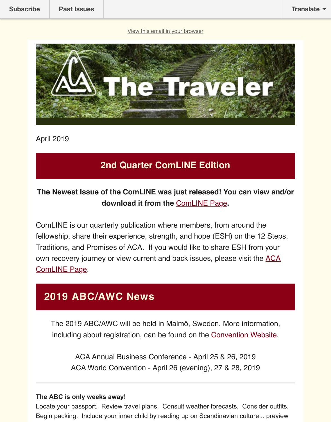

April 2019

# **[2nd Quarter ComLINE Edition](http://www.adultchildren.org/)**

**The Newest Issue of the ComLINE was just released! You can view and download it from the** ComLINE Page**.**

ComLINE is our quarterly publication where members, from around the fellowship, share their experience, strength, and hope (ESH) on the 12 Step Traditions, and Promises of ACA. If you would like to share ESH from your own recovery journey or view current and [back issues, plea](https://adultchildren.org/literature/comline/)se visit the ACA ComLINE Page.

# **2019 ABC/AWC News**

[The 2019 ABC/AWC will be held in Malmö, Sweden. More information,](https://adultchildren.org/literature/comline/) including about registration, can be found on the **Convention Website**.

ACA Annual Business Conference - April 25 & 26, 2019 ACA World Convention - April 26 (evening), 27 & 28, 2019

#### **The ABC is only weeks away!**

Locate your passport. Review travel plans. Consult weather forecasts. Consider outf Begin packing. Include your inner child by reading up on Scandinavian culture... previe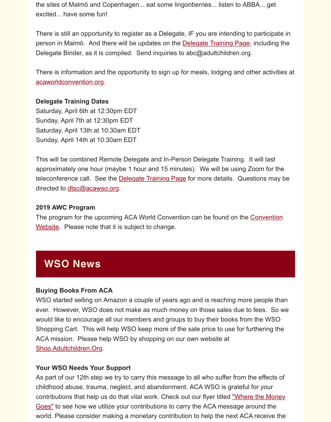There is information and the opportunity to sign up for meals, lodging and other activities acaworldconvention.org.

### **Delegate Training Dates**

Saturday, April 6th at 12:30pm EDT Sunday, April 7th at 12:30pm EDT Saturday, April 13th at 10:30am EDT [Sunday, April 14th at 10](http://www.acaworldconvention.org/):30am EDT

This will be combined Remote Delegate and In-Person Delegate Training. It will last approximately one hour (maybe 1 hour and 15 minutes). We will be using Zoom for the teleconference call. See the **Delegate Training Page** for more details. Questions may directed to dtsc@acawso.org.

## **2019 AWC Program**

The program for the upcoming ACA World Convention can be found on the Convention Website. Please note that it is subject to change.

# **WSO News**

## **[Buying Books From ACA](https://www.acaworldconvention.org/the-program/)**

WSO started selling on Amazon a couple of years ago and is reaching more people that ever. However, WSO does not make as much money on those sales due to fees. So would like to encourage all our members and groups to buy their books from the WSO Shopping Cart. This will help WSO keep more of the sale price to use for furthering the ACA mission. Please help WSO by shopping on our own website at Shop.Adultchildren.Org.

## **Your WSO Needs Your Support**

As part of our 12th step we try to carry this message to all who suffer from the effects of childhood abuse, trauma, neglect, and abandonment. ACA WSO is grateful for your contributions that help us do that vital work. Check out our flyer titled "Where the Mone [Goes" to see how we ut](https://shop.adultchildren.org/)ilize your contributions to carry the ACA message around the world. Please consider making a monetary contribution to help the next ACA receive the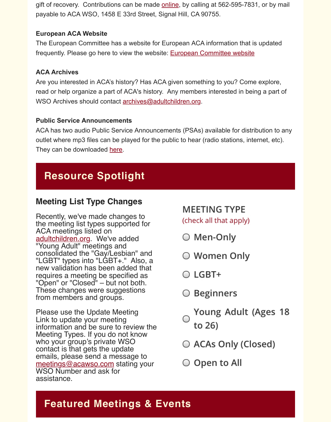## **ACA Archives**

Are you interested in ACA's history? Has ACA given something to you? Come explore, read or help organize a part of ACA's history. Any members interested in being a part WSO Archives should contact archives@adultchildren.org.

## **Public Service Announcements**

ACA has two audio Public Service Announcements (PSAs) available for distribution to outlet where mp3 files can be played for the public to hear (radio stations, internet, etc) They can be downloaded here.

# **Resource Spotlight**

## **Meeting List Type [Cha](https://acawso.org/2018/03/02/aca-psas-available-for-download-in-mp3-format/)nges**

Recently, we've made changes to the meeting list types supported for ACA meetings listed on adultchildren.org. We've added "Young Adult" meetings and consolidated the "Gay/Lesbian" and "LGBT" types into "LGBT+." Also, a new validation has been added that requires a meeting be specified as "Open" or "Closed" – but not both. These changes were suggestions [from members an](https://adultchildren.org/)d groups.

Please use the Update Meeting Link to update your meeting information and be sure to review the Meeting Types. If you do not know who your group's private WSO contact is that gets the update emails, please send a message to meetings@acawso.com stating your WSO Number and ask for assistance.

# **MEETING TYPE**

(check all that apply)

- Men-Only
- Women Only
- $\bigcirc$  LGBT+
- Beginners
- Young Adult (Ages ' to 26)
- ACAs Only (Closed)
- $\circ$  Open to All

# **Featured Meetings & Events**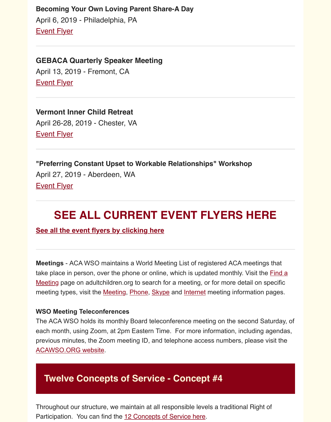#### **GEBACA Quarterly Speaker Meeting**

April 13, 2019 - Fremont, CA **[Event Flyer](https://acawso.org/wp-content/uploads/2019/02/Share-A-Day-flyer-2019.pdf)** 

## **Vermont Inner Child Retreat**

April 26-28, 2019 - Chester, VA **[Event Flyer](https://acawso.org/wp-content/uploads/2019/02/GEBACA-Speaker-Meeting.4.13.19.png)** 

**"Preferring Constant Upset to Workable Relationships" Workshop**  April 27, 2019 - Aberdeen, WA **[Event Flyer](https://acawso.org/wp-content/uploads/2019/03/ACA-April-2019-Dennis.pdf)** 

# **SEE ALL CURRENT EVENT FLYERS HERE**

### **See all the event flyers by clicking here**

**Meetings** - ACA WSO maintains a World Meeting List of registered ACA meetings that take place in person, over the phone or online, which is updated monthly. Visit the *Find* Meeting page on adultchildren.org to search for a meeting, or for more detail on specif meeting types, visit the **Meeting, Phone, Skype and Internet** meeting information pages

#### **WSO Meeting Teleconferences**

The ACA WSO holds its monthly Board teleconference meeting on the second Saturday each month, using Zoom, at 2pm Eastern Time. For more information, including agene previous minutes, the Zoom meeting ID, and telephone access numbers, please visit the ACAWSO.ORG websit[e.](http://www.meetings.adultchildren.org/find-a-meeting1)

## **Twelve Concepts of Service - Concept #4**

[Throughout our structure](https://acawso.org/monthly-telecon/), we maintain at all responsible levels a traditional Right of Participation. You can find the 12 Concepts of Service here.